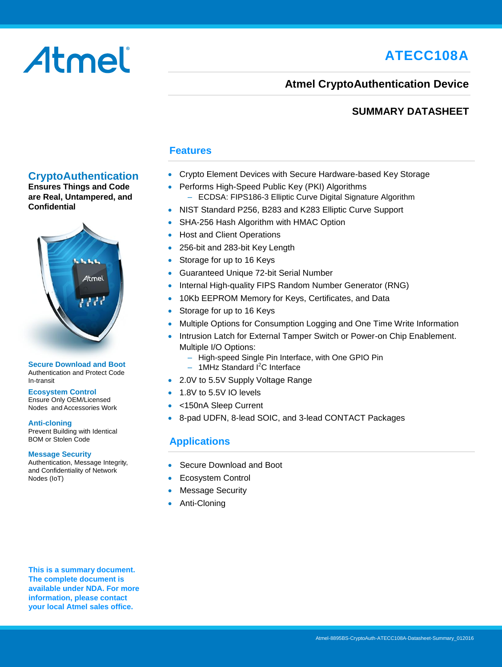# **ATECC108A**

# Atmel

## **Atmel CryptoAuthentication Device**

## **SUMMARY DATASHEET**

## **Features**

- Crypto Element Devices with Secure Hardware-based Key Storage
- Performs High-Speed Public Key (PKI) Algorithms – ECDSA: FIPS186-3 Elliptic Curve Digital Signature Algorithm
- NIST Standard P256, B283 and K283 Elliptic Curve Support
- SHA-256 Hash Algorithm with HMAC Option
- Host and Client Operations
- 256-bit and 283-bit Key Length
- Storage for up to 16 Keys
- Guaranteed Unique 72-bit Serial Number
- Internal High-quality FIPS Random Number Generator (RNG)
- 10Kb EEPROM Memory for Keys, Certificates, and Data
- Storage for up to 16 Keys
- Multiple Options for Consumption Logging and One Time Write Information
- Intrusion Latch for External Tamper Switch or Power-on Chip Enablement. Multiple I/O Options:
	- High-speed Single Pin Interface, with One GPIO Pin
	- $-$  1MHz Standard  $I<sup>2</sup>C$  Interface
- 2.0V to 5.5V Supply Voltage Range
- 1.8V to 5.5V IO levels
- <150nA Sleep Current
- 8-pad UDFN, 8-lead SOIC, and 3-lead CONTACT Packages

## **Applications**

- Secure Download and Boot
- Ecosystem Control
- Message Security
- Anti-Cloning

**This is a summary document. The complete document is available under NDA. For more information, please contact your local Atmel sales office.** 



**CryptoAuthentication Ensures Things and Code are Real, Untampered, and**

**Confidential**

#### **Secure Download and Boot** Authentication and Protect Code In-transit

**Ecosystem Control** Ensure Only OEM/Licensed Nodes and Accessories Work

#### **Anti-cloning**

Prevent Building with Identical BOM or Stolen Code

#### **Message Security**

Authentication, Message Integrity, and Confidentiality of Network Nodes (IoT)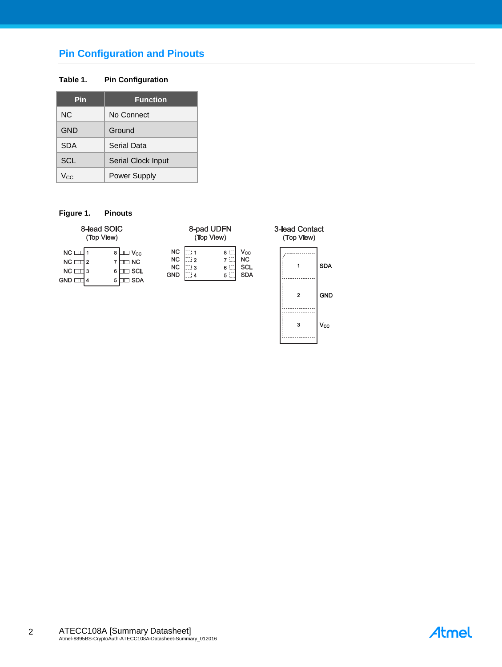## **Pin Configuration and Pinouts**

#### **Table 1. Pin Configuration**

| Pin        | <b>Function</b>     |
|------------|---------------------|
| NC.        | No Connect          |
| <b>GND</b> | Ground              |
| <b>SDA</b> | Serial Data         |
| <b>SCL</b> | Serial Clock Input  |
| Vcc        | <b>Power Supply</b> |

#### **Figure 1. Pinouts**

|                                                      | 8-lead SOIC<br>(Top View)                                              |                                                   |                     | 8-pad UDFN<br>(Top View) |                                              | 3-lea<br>(То |
|------------------------------------------------------|------------------------------------------------------------------------|---------------------------------------------------|---------------------|--------------------------|----------------------------------------------|--------------|
| $NC \Box$<br>$NC \perp 2$<br>$NC \Box$<br>$GND \Box$ | $\Box$ $\mathsf{V_{cc}}$<br>8<br>$\sqsupset$ NC<br>∃ SCL<br>∃ SDA<br>5 | <b>NC</b><br><b>NC</b><br><b>NC</b><br><b>GND</b> | 711<br>ີ ! 2<br>. 3 | 8 :<br>7 C<br>6 L<br>5 E | Vcc<br><b>NC</b><br><b>SCL</b><br><b>SDA</b> |              |



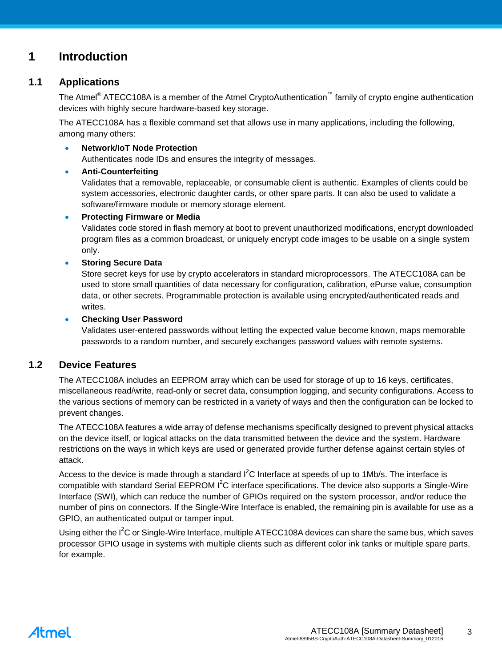## **1 Introduction**

## **1.1 Applications**

The Atmel<sup>®</sup> ATECC108A is a member of the Atmel CryptoAuthentication<sup>™</sup> family of crypto engine authentication devices with highly secure hardware-based key storage.

The ATECC108A has a flexible command set that allows use in many applications, including the following, among many others:

#### **Network/IoT Node Protection**

Authenticates node IDs and ensures the integrity of messages.

### **Anti-Counterfeiting**

Validates that a removable, replaceable, or consumable client is authentic. Examples of clients could be system accessories, electronic daughter cards, or other spare parts. It can also be used to validate a software/firmware module or memory storage element.

#### **Protecting Firmware or Media**

Validates code stored in flash memory at boot to prevent unauthorized modifications, encrypt downloaded program files as a common broadcast, or uniquely encrypt code images to be usable on a single system only.

### **Storing Secure Data**

Store secret keys for use by crypto accelerators in standard microprocessors. The ATECC108A can be used to store small quantities of data necessary for configuration, calibration, ePurse value, consumption data, or other secrets. Programmable protection is available using encrypted/authenticated reads and writes.

#### **Checking User Password**

Validates user-entered passwords without letting the expected value become known, maps memorable passwords to a random number, and securely exchanges password values with remote systems.

## **1.2 Device Features**

The ATECC108A includes an EEPROM array which can be used for storage of up to 16 keys, certificates, miscellaneous read/write, read-only or secret data, consumption logging, and security configurations. Access to the various sections of memory can be restricted in a variety of ways and then the configuration can be locked to prevent changes.

The ATECC108A features a wide array of defense mechanisms specifically designed to prevent physical attacks on the device itself, or logical attacks on the data transmitted between the device and the system. Hardware restrictions on the ways in which keys are used or generated provide further defense against certain styles of attack.

Access to the device is made through a standard  $I^2C$  Interface at speeds of up to 1Mb/s. The interface is compatible with standard Serial EEPROM I<sup>2</sup>C interface specifications. The device also supports a Single-Wire Interface (SWI), which can reduce the number of GPIOs required on the system processor, and/or reduce the number of pins on connectors. If the Single-Wire Interface is enabled, the remaining pin is available for use as a GPIO, an authenticated output or tamper input.

Using either the I<sup>2</sup>C or Single-Wire Interface, multiple ATECC108A devices can share the same bus, which saves processor GPIO usage in systems with multiple clients such as different color ink tanks or multiple spare parts, for example.

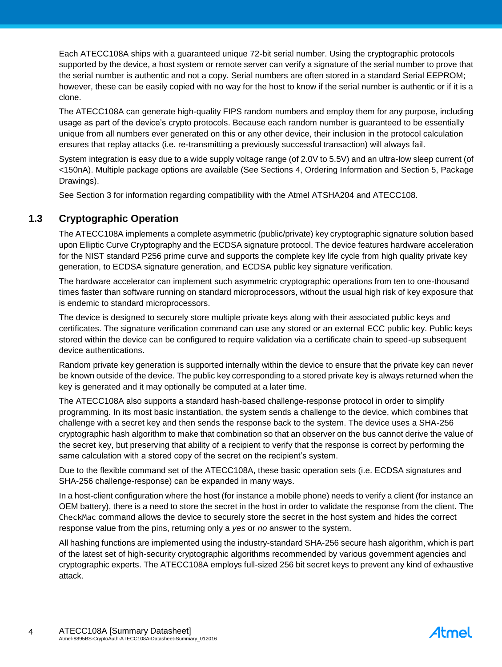Each ATECC108A ships with a guaranteed unique 72-bit serial number. Using the cryptographic protocols supported by the device, a host system or remote server can verify a signature of the serial number to prove that the serial number is authentic and not a copy. Serial numbers are often stored in a standard Serial EEPROM; however, these can be easily copied with no way for the host to know if the serial number is authentic or if it is a clone.

The ATECC108A can generate high-quality FIPS random numbers and employ them for any purpose, including usage as part of the device's crypto protocols. Because each random number is guaranteed to be essentially unique from all numbers ever generated on this or any other device, their inclusion in the protocol calculation ensures that replay attacks (i.e. re-transmitting a previously successful transaction) will always fail.

System integration is easy due to a wide supply voltage range (of 2.0V to 5.5V) and an ultra-low sleep current (of <150nA). Multiple package options are available (See Sections 4, Ordering Information and Section 5, Package Drawings).

See Section [3](#page-8-0) for information regarding compatibility with the Atmel ATSHA204 and ATECC108.

## **1.3 Cryptographic Operation**

The ATECC108A implements a complete asymmetric (public/private) key cryptographic signature solution based upon Elliptic Curve Cryptography and the ECDSA signature protocol. The device features hardware acceleration for the NIST standard P256 prime curve and supports the complete key life cycle from high quality private key generation, to ECDSA signature generation, and ECDSA public key signature verification.

The hardware accelerator can implement such asymmetric cryptographic operations from ten to one-thousand times faster than software running on standard microprocessors, without the usual high risk of key exposure that is endemic to standard microprocessors.

The device is designed to securely store multiple private keys along with their associated public keys and certificates. The signature verification command can use any stored or an external ECC public key. Public keys stored within the device can be configured to require validation via a certificate chain to speed-up subsequent device authentications.

Random private key generation is supported internally within the device to ensure that the private key can never be known outside of the device. The public key corresponding to a stored private key is always returned when the key is generated and it may optionally be computed at a later time.

The ATECC108A also supports a standard hash-based challenge-response protocol in order to simplify programming. In its most basic instantiation, the system sends a challenge to the device, which combines that challenge with a secret key and then sends the response back to the system. The device uses a SHA-256 cryptographic hash algorithm to make that combination so that an observer on the bus cannot derive the value of the secret key, but preserving that ability of a recipient to verify that the response is correct by performing the same calculation with a stored copy of the secret on the recipient's system.

Due to the flexible command set of the ATECC108A, these basic operation sets (i.e. ECDSA signatures and SHA-256 challenge-response) can be expanded in many ways.

In a host-client configuration where the host (for instance a mobile phone) needs to verify a client (for instance an OEM battery), there is a need to store the secret in the host in order to validate the response from the client. The CheckMac command allows the device to securely store the secret in the host system and hides the correct response value from the pins, returning only a *yes* or *no* answer to the system.

All hashing functions are implemented using the industry-standard SHA-256 secure hash algorithm, which is part of the latest set of high-security cryptographic algorithms recommended by various government agencies and cryptographic experts. The ATECC108A employs full-sized 256 bit secret keys to prevent any kind of exhaustive attack.

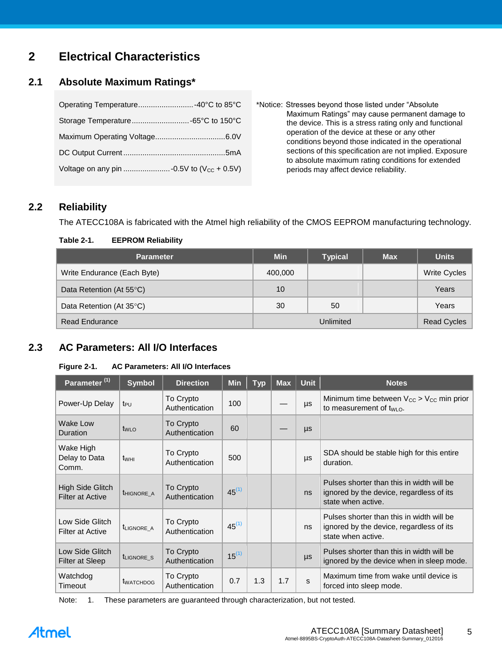## **2 Electrical Characteristics**

## **2.1 Absolute Maximum Ratings\***

| Operating Temperature -40°C to 85°C |  |
|-------------------------------------|--|
|                                     |  |
|                                     |  |
|                                     |  |
|                                     |  |

\*Notice: Stresses beyond those listed under "Absolute Maximum Ratings" may cause permanent damage to the device. This is a stress rating only and functional operation of the device at these or any other conditions beyond those indicated in the operational sections of this specification are not implied. Exposure to absolute maximum rating conditions for extended periods may affect device reliability.

## **2.2 Reliability**

The ATECC108A is fabricated with the Atmel high reliability of the CMOS EEPROM manufacturing technology.

#### **Table 2-1. EEPROM Reliability**

| <b>Parameter</b>            | <b>Min</b> | <b>Typical</b>     | <b>Max</b> | <b>Units</b>        |
|-----------------------------|------------|--------------------|------------|---------------------|
| Write Endurance (Each Byte) | 400,000    |                    |            | <b>Write Cycles</b> |
| Data Retention (At 55°C)    | 10         |                    |            | Years               |
| Data Retention (At 35°C)    | 30         | 50                 |            | Years               |
| <b>Read Endurance</b>       |            | <b>Read Cycles</b> |            |                     |

## **2.3 AC Parameters: All I/O Interfaces**

#### **Figure 2-1. AC Parameters: All I/O Interfaces**

| Parameter <sup>(1)</sup>                    | <b>Symbol</b>                     | <b>Direction</b>            | <b>Min</b> | <b>Typ</b> | <b>Max</b> | <b>Unit</b> | <b>Notes</b>                                                                                                |
|---------------------------------------------|-----------------------------------|-----------------------------|------------|------------|------------|-------------|-------------------------------------------------------------------------------------------------------------|
| Power-Up Delay                              | t <sub>PU</sub>                   | To Crypto<br>Authentication | 100        |            |            | μs          | Minimum time between $V_{CC} > V_{CC}$ min prior<br>to measurement of $t_{W1}$ o.                           |
| Wake Low<br>Duration                        | tw <sub>LO</sub>                  | To Crypto<br>Authentication | 60         |            |            | $\mu s$     |                                                                                                             |
| Wake High<br>Delay to Data<br>Comm.         | $t_{WHI}$                         | To Crypto<br>Authentication | 500        |            |            | $\mu s$     | SDA should be stable high for this entire<br>duration.                                                      |
| High Side Glitch<br><b>Filter at Active</b> | THIGNORE A                        | To Crypto<br>Authentication | $45^{(1)}$ |            |            | ns          | Pulses shorter than this in width will be<br>ignored by the device, regardless of its<br>state when active. |
| Low Side Glitch<br>Filter at Active         | <b><i>ILIGNORE A</i></b>          | To Crypto<br>Authentication | $45^{(1)}$ |            |            | ns          | Pulses shorter than this in width will be<br>ignored by the device, regardless of its<br>state when active. |
| Low Side Glitch<br><b>Filter at Sleep</b>   | t <sub>LIGNORE</sub> <sub>S</sub> | To Crypto<br>Authentication | $15^{(1)}$ |            |            | $\mu s$     | Pulses shorter than this in width will be<br>ignored by the device when in sleep mode.                      |
| Watchdog<br>Timeout                         | <b>t</b> WATCHDOG                 | To Crypto<br>Authentication | 0.7        | 1.3        | 1.7        | S.          | Maximum time from wake until device is<br>forced into sleep mode.                                           |

Note: 1. These parameters are guaranteed through characterization, but not tested.

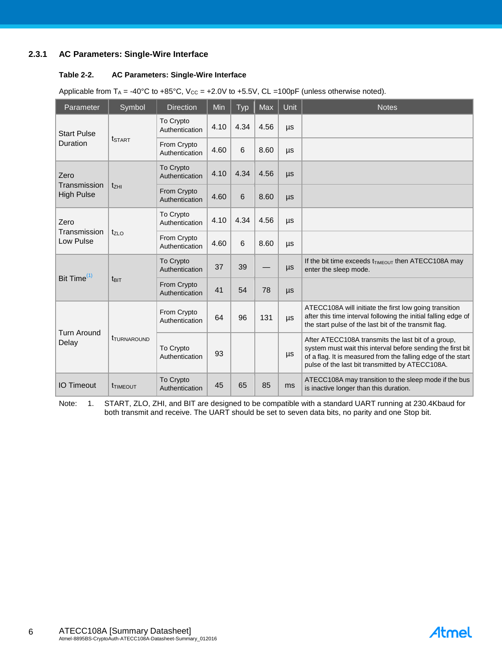#### **2.3.1 AC Parameters: Single-Wire Interface**

#### **Table 2-2. AC Parameters: Single-Wire Interface**

| Parameter                                   | Symbol                    | <b>Direction</b>              | Min  | Typ  | <b>Max</b> | Unit    | <b>Notes</b>                                                                                                                                                                                                                         |
|---------------------------------------------|---------------------------|-------------------------------|------|------|------------|---------|--------------------------------------------------------------------------------------------------------------------------------------------------------------------------------------------------------------------------------------|
| <b>Start Pulse</b>                          |                           | To Crypto<br>Authentication   | 4.10 | 4.34 | 4.56       | μs      |                                                                                                                                                                                                                                      |
| Duration                                    | <b>t</b> start            | From Crypto<br>Authentication | 4.60 | 6    | 8.60       | μs      |                                                                                                                                                                                                                                      |
| Zero                                        |                           | To Crypto<br>Authentication   | 4.10 | 4.34 | 4.56       | $\mu s$ |                                                                                                                                                                                                                                      |
| Transmission<br><b>High Pulse</b>           | $t_{ZHI}$                 | From Crypto<br>Authentication | 4.60 | 6    | 8.60       | $\mu s$ |                                                                                                                                                                                                                                      |
| Zero                                        |                           | To Crypto<br>Authentication   | 4.10 | 4.34 | 4.56       | $\mu s$ |                                                                                                                                                                                                                                      |
| Transmission<br>Low Pulse                   | $t_{ZLO}$                 | From Crypto<br>Authentication | 4.60 | 6    | 8.60       | $\mu s$ |                                                                                                                                                                                                                                      |
|                                             |                           | To Crypto<br>Authentication   | 37   | 39   |            | $\mu s$ | If the bit time exceeds $t_{\text{TIMEOUT}}$ then ATECC108A may<br>enter the sleep mode.                                                                                                                                             |
| Bit Time <sup>(1)</sup><br>$t_{\text{BIT}}$ |                           | From Crypto<br>Authentication | 41   | 54   | 78         | $\mu s$ |                                                                                                                                                                                                                                      |
|                                             |                           | From Crypto<br>Authentication | 64   | 96   | 131        | μs      | ATECC108A will initiate the first low going transition<br>after this time interval following the initial falling edge of<br>the start pulse of the last bit of the transmit flag.                                                    |
| <b>Turn Around</b><br>Delay                 | <b><i>ITURNAROUND</i></b> | To Crypto<br>Authentication   | 93   |      |            | μs      | After ATECC108A transmits the last bit of a group,<br>system must wait this interval before sending the first bit<br>of a flag. It is measured from the falling edge of the start<br>pulse of the last bit transmitted by ATECC108A. |
| <b>IO Timeout</b>                           | <b>TIMEOUT</b>            | To Crypto<br>Authentication   | 45   | 65   | 85         | ms      | ATECC108A may transition to the sleep mode if the bus<br>is inactive longer than this duration.                                                                                                                                      |

Note: 1. START, ZLO, ZHI, and BIT are designed to be compatible with a standard UART running at 230.4Kbaud for both transmit and receive. The UART should be set to seven data bits, no parity and one Stop bit.

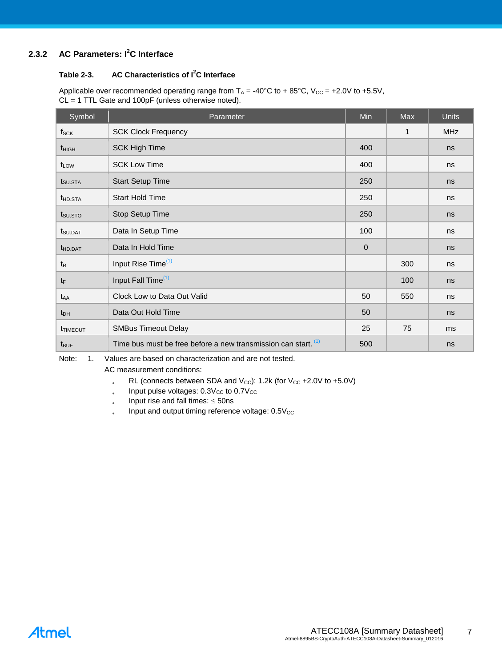## **2.3.2 AC Parameters: I<sup>2</sup>C Interface**

#### **Table 2-3. AC Characteristics of I<sup>2</sup>C Interface**

Applicable over recommended operating range from  $T_A = -40^{\circ}C$  to + 85°C,  $V_{CC} = +2.0V$  to +5.5V, CL = 1 TTL Gate and 100pF (unless otherwise noted).

| Symbol              | Parameter                                                      | Min          | Max | <b>Units</b> |
|---------------------|----------------------------------------------------------------|--------------|-----|--------------|
| $f_{\rm SCK}$       | <b>SCK Clock Frequency</b>                                     |              | 1   | <b>MHz</b>   |
| $t_{HIGH}$          | <b>SCK High Time</b>                                           | 400          |     | ns           |
| t <sub>LOW</sub>    | <b>SCK Low Time</b>                                            | 400          |     | ns           |
| t <sub>SU.STA</sub> | <b>Start Setup Time</b>                                        | 250          |     | ns           |
| t <sub>HD.STA</sub> | <b>Start Hold Time</b>                                         | 250          |     | ns           |
| t <sub>su.sto</sub> | Stop Setup Time                                                | 250          |     | ns           |
| t <sub>SU.DAT</sub> | Data In Setup Time                                             | 100          |     | ns           |
| <b>t</b> HD.DAT     | Data In Hold Time                                              | $\mathbf{0}$ |     | ns           |
| $t_{\mathsf{R}}$    | Input Rise Time <sup>(1)</sup>                                 |              | 300 | ns           |
| $t_{F}$             | Input Fall Time <sup>(1)</sup>                                 |              | 100 | ns           |
| t <sub>AA</sub>     | Clock Low to Data Out Valid                                    | 50           | 550 | ns           |
| $t_{DH}$            | Data Out Hold Time                                             | 50           |     | ns           |
| <b>t</b> TIMEOUT    | <b>SMBus Timeout Delay</b>                                     | 25           | 75  | ms           |
| t <sub>BUF</sub>    | Time bus must be free before a new transmission can start. (1) | 500          |     | ns           |

Note: 1. Values are based on characterization and are not tested.

AC measurement conditions:

- RL (connects between SDA and  $V_{CC}$ ): 1.2k (for  $V_{CC}$  +2.0V to +5.0V)
- $\bullet$ Input pulse voltages:  $0.3V_{CC}$  to  $0.7V_{CC}$
- $\ddot{\phantom{0}}$ Input rise and fall times:  $\leq$  50ns
- $\bullet$ Input and output timing reference voltage:  $0.5V_{CC}$

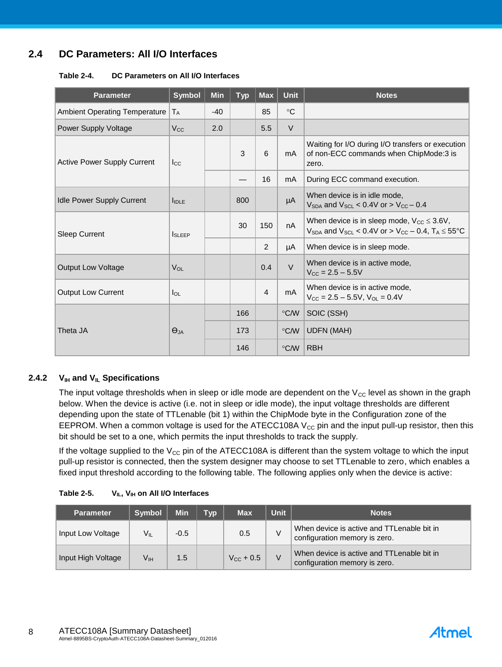## **2.4 DC Parameters: All I/O Interfaces**

#### **Table 2-4. DC Parameters on All I/O Interfaces**

| <b>Parameter</b>                     | <b>Symbol</b>     | <b>Min</b> | <b>Typ</b> | <b>Max</b>     | <b>Unit</b>     | <b>Notes</b>                                                                                                                         |
|--------------------------------------|-------------------|------------|------------|----------------|-----------------|--------------------------------------------------------------------------------------------------------------------------------------|
| <b>Ambient Operating Temperature</b> | $ T_A $           | $-40$      |            | 85             | $\rm ^{\circ}C$ |                                                                                                                                      |
| Power Supply Voltage                 | $V_{\rm CC}$      | 2.0        |            | 5.5            | $\vee$          |                                                                                                                                      |
| <b>Active Power Supply Current</b>   | $I_{\rm CC}$      |            | 3          | 6              | mA              | Waiting for I/O during I/O transfers or execution<br>of non-ECC commands when ChipMode:3 is<br>zero.                                 |
|                                      |                   |            |            | 16             | mA              | During ECC command execution.                                                                                                        |
| <b>Idle Power Supply Current</b>     | $I_{\text{IDLE}}$ |            | 800        |                | μA              | When device is in idle mode,<br>$V_{SDA}$ and $V_{SCL}$ < 0.4V or > $V_{CC}$ – 0.4                                                   |
| <b>Sleep Current</b>                 | <b>I</b> SLEEP    |            | 30         | 150            | nA              | When device is in sleep mode, $V_{CC} \leq 3.6V$ ,<br>$V_{SDA}$ and $V_{SCL}$ < 0.4V or > $V_{CC}$ – 0.4, T <sub>A</sub> $\leq$ 55°C |
|                                      |                   |            |            | 2              | μA              | When device is in sleep mode.                                                                                                        |
| <b>Output Low Voltage</b>            | VOL               |            |            | 0.4            | $\vee$          | When device is in active mode,<br>$V_{CC} = 2.5 - 5.5V$                                                                              |
| <b>Output Low Current</b>            | $I_{OL}$          |            |            | $\overline{4}$ | mA              | When device is in active mode,<br>$V_{CC} = 2.5 - 5.5V$ , $V_{OL} = 0.4V$                                                            |
|                                      |                   |            | 166        |                | $\degree$ C/W   | SOIC (SSH)                                                                                                                           |
| Theta JA                             | $\Theta_{JA}$     |            | 173        |                | $\degree$ C/W   | <b>UDFN (MAH)</b>                                                                                                                    |
|                                      |                   |            | 146        |                | $\degree$ C/W   | <b>RBH</b>                                                                                                                           |

#### **2.4.2 VIH and VIL Specifications**

The input voltage thresholds when in sleep or idle mode are dependent on the  $V_{\text{CC}}$  level as shown in the graph below. When the device is active (i.e. not in sleep or idle mode), the input voltage thresholds are different depending upon the state of TTLenable (bit 1) within the ChipMode byte in the Configuration zone of the EEPROM. When a common voltage is used for the ATECC108A  $V_{CC}$  pin and the input pull-up resistor, then this bit should be set to a one, which permits the input thresholds to track the supply.

If the voltage supplied to the  $V_{CC}$  pin of the ATECC108A is different than the system voltage to which the input pull-up resistor is connected, then the system designer may choose to set TTLenable to zero, which enables a fixed input threshold according to the following table. The following applies only when the device is active:

| <b>Table 2-5.</b> | $V_{IL}$ , $V_{IH}$ on All I/O Interfaces |
|-------------------|-------------------------------------------|
|-------------------|-------------------------------------------|

| <b>Parameter</b>   | <b>Symbol</b> | <b>Min</b> | <b>Tvp</b> | <b>Max</b>         | <b>Unit</b> | <b>Notes</b>                                                                |
|--------------------|---------------|------------|------------|--------------------|-------------|-----------------------------------------------------------------------------|
| Input Low Voltage  | V။            | $-0.5$     |            | 0.5                |             | When device is active and TTLenable bit in<br>configuration memory is zero. |
| Input High Voltage | Vıн           | 1.5        |            | $V_{\rm CC}$ + 0.5 |             | When device is active and TTLenable bit in<br>configuration memory is zero. |

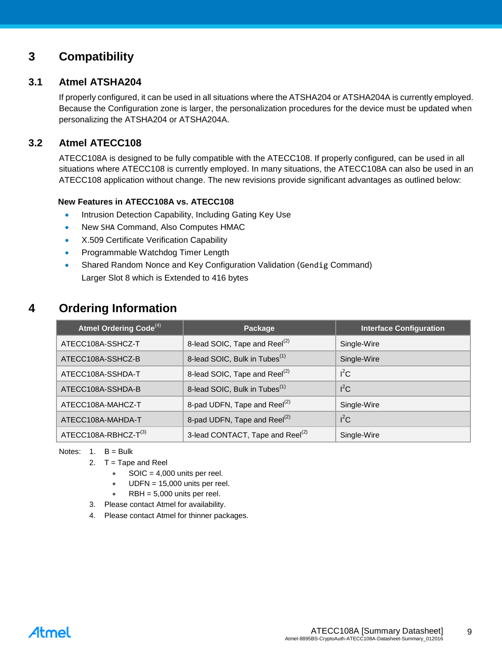## <span id="page-8-0"></span>**3 Compatibility**

## **3.1 Atmel ATSHA204**

If properly configured, it can be used in all situations where the ATSHA204 or ATSHA204A is currently employed. Because the Configuration zone is larger, the personalization procedures for the device must be updated when personalizing the ATSHA204 or ATSHA204A.

## **3.2 Atmel ATECC108**

ATECC108A is designed to be fully compatible with the ATECC108. If properly configured, can be used in all situations where ATECC108 is currently employed. In many situations, the ATECC108A can also be used in an ATECC108 application without change. The new revisions provide significant advantages as outlined below:

#### **New Features in ATECC108A vs. ATECC108**

- Intrusion Detection Capability, Including Gating Key Use
- New SHA Command, Also Computes HMAC
- X.509 Certificate Verification Capability
- Programmable Watchdog Timer Length
- Shared Random Nonce and Key Configuration Validation (Gendig Command) Larger Slot 8 which is Extended to 416 bytes

## **4 Ordering Information**

| Atmel Ordering Code <sup>(4)</sup> | Package                                      | <b>Interface Configuration</b> |
|------------------------------------|----------------------------------------------|--------------------------------|
| ATECC108A-SSHCZ-T                  | 8-lead SOIC, Tape and Reel <sup>(2)</sup>    | Single-Wire                    |
| ATECC108A-SSHCZ-B                  | 8-lead SOIC, Bulk in Tubes <sup>(1)</sup>    | Single-Wire                    |
| ATECC108A-SSHDA-T                  | 8-lead SOIC, Tape and Reel <sup>(2)</sup>    | $I^2C$                         |
| ATECC108A-SSHDA-B                  | 8-lead SOIC, Bulk in Tubes <sup>(1)</sup>    | $I^2C$                         |
| ATECC108A-MAHCZ-T                  | 8-pad UDFN, Tape and Reel <sup>(2)</sup>     | Single-Wire                    |
| ATECC108A-MAHDA-T                  | 8-pad UDFN, Tape and Reel <sup>(2)</sup>     | $I^2C$                         |
| ATECC108A-RBHCZ-T(3)               | 3-lead CONTACT, Tape and Reel <sup>(2)</sup> | Single-Wire                    |

#### Notes:  $1.$  B = Bulk

- 2. T = Tape and Reel
	- $\bullet$  SOIC = 4,000 units per reel.
	- $UDFN = 15,000$  units per reel.
	- RBH = 5,000 units per reel.
- 3. Please contact Atmel for availability.
- 4. Please contact Atmel for thinner packages.

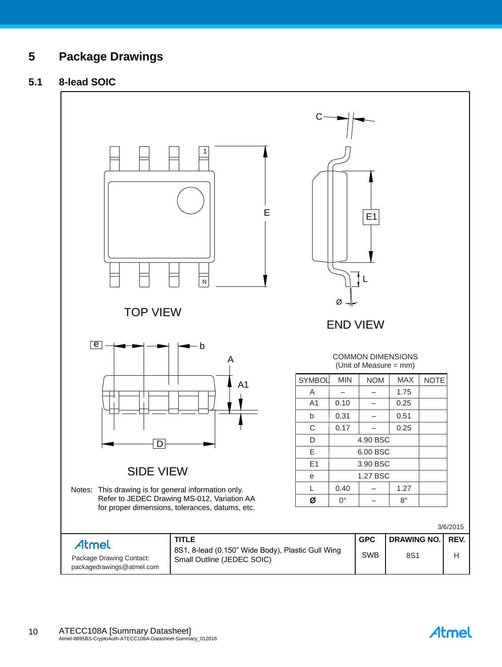## **5 Package Drawings**

## **5.1 8-lead SOIC**



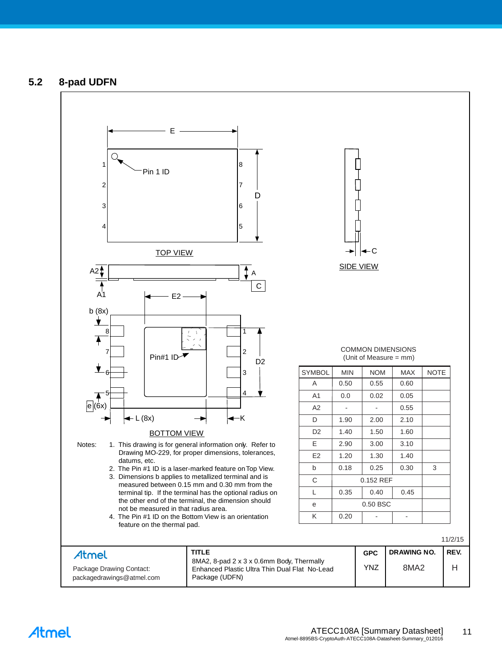## **5.2 8-pad UDFN**



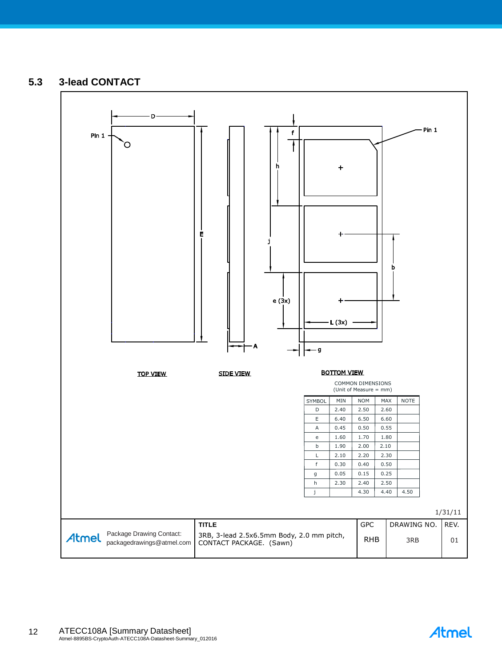## **5.3 3-lead CONTACT**



Atmel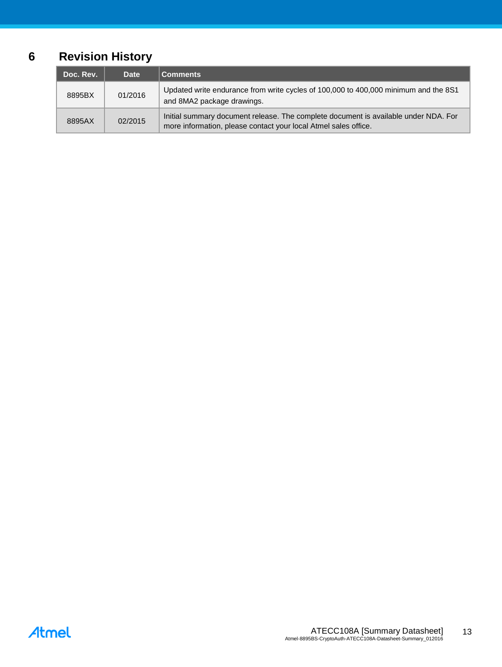## **6 Revision History**

| Doc. Rev. | <b>Date</b> | <b>Comments</b>                                                                                                                                        |
|-----------|-------------|--------------------------------------------------------------------------------------------------------------------------------------------------------|
| 8895BX    | 01/2016     | Updated write endurance from write cycles of 100,000 to 400,000 minimum and the 8S1<br>and 8MA2 package drawings.                                      |
| 8895AX    | 02/2015     | Initial summary document release. The complete document is available under NDA. For<br>more information, please contact your local Atmel sales office. |